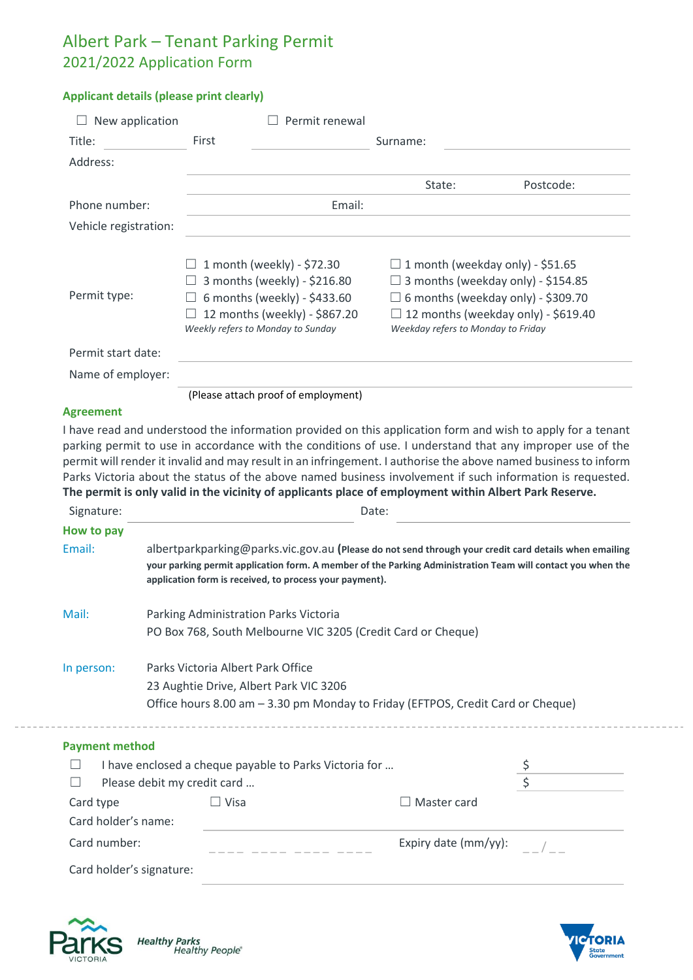## Albert Park – Tenant Parking Permit 2021/2022 Application Form

## **Applicant details (please print clearly)**

| New application       | Permit renewal                                                                                                                                                   |                                                                                                                                                                                                                       |  |
|-----------------------|------------------------------------------------------------------------------------------------------------------------------------------------------------------|-----------------------------------------------------------------------------------------------------------------------------------------------------------------------------------------------------------------------|--|
| Title:                | First                                                                                                                                                            | Surname:                                                                                                                                                                                                              |  |
| Address:              |                                                                                                                                                                  |                                                                                                                                                                                                                       |  |
|                       |                                                                                                                                                                  | Postcode:<br>State:                                                                                                                                                                                                   |  |
| Phone number:         | Email:                                                                                                                                                           |                                                                                                                                                                                                                       |  |
| Vehicle registration: |                                                                                                                                                                  |                                                                                                                                                                                                                       |  |
| Permit type:          | 1 month (weekly) - \$72.30<br>3 months (weekly) - \$216.80<br>6 months (weekly) - \$433.60<br>12 months (weekly) - \$867.20<br>Weekly refers to Monday to Sunday | 1 month (weekday only) - \$51.65<br>$\Box$<br>3 months (weekday only) - \$154.85<br>6 months (weekday only) - \$309.70<br>$\perp$<br>$\Box$ 12 months (weekday only) - \$619.40<br>Weekday refers to Monday to Friday |  |
| Permit start date:    |                                                                                                                                                                  |                                                                                                                                                                                                                       |  |
| Name of employer:     |                                                                                                                                                                  |                                                                                                                                                                                                                       |  |
|                       | (Please attach proof of employment)                                                                                                                              |                                                                                                                                                                                                                       |  |

## **Agreement**

I have read and understood the information provided on this application form and wish to apply for a tenant parking permit to use in accordance with the conditions of use. I understand that any improper use of the permit will render it invalid and may result in an infringement. I authorise the above named businessto inform Parks Victoria about the status of the above named business involvement if such information is requested. **The permit is only valid in the vicinity of applicants place of employment within Albert Park Reserve.**

| Signature:                  |                                                                                 | Date:                                                                                                                                                                                                                                                                           |  |  |
|-----------------------------|---------------------------------------------------------------------------------|---------------------------------------------------------------------------------------------------------------------------------------------------------------------------------------------------------------------------------------------------------------------------------|--|--|
| How to pay                  |                                                                                 |                                                                                                                                                                                                                                                                                 |  |  |
| Email:                      |                                                                                 | albertparkparking@parks.vic.gov.au (Please do not send through your credit card details when emailing<br>your parking permit application form. A member of the Parking Administration Team will contact you when the<br>application form is received, to process your payment). |  |  |
| Mail:                       | Parking Administration Parks Victoria                                           |                                                                                                                                                                                                                                                                                 |  |  |
|                             | PO Box 768, South Melbourne VIC 3205 (Credit Card or Cheque)                    |                                                                                                                                                                                                                                                                                 |  |  |
| In person:                  | Parks Victoria Albert Park Office                                               |                                                                                                                                                                                                                                                                                 |  |  |
|                             | 23 Aughtie Drive, Albert Park VIC 3206                                          |                                                                                                                                                                                                                                                                                 |  |  |
|                             | Office hours 8.00 am - 3.30 pm Monday to Friday (EFTPOS, Credit Card or Cheque) |                                                                                                                                                                                                                                                                                 |  |  |
| <b>Payment method</b>       |                                                                                 |                                                                                                                                                                                                                                                                                 |  |  |
|                             | I have enclosed a cheque payable to Parks Victoria for                          |                                                                                                                                                                                                                                                                                 |  |  |
| Please debit my credit card |                                                                                 |                                                                                                                                                                                                                                                                                 |  |  |
| Card type                   | Visa                                                                            | Master card                                                                                                                                                                                                                                                                     |  |  |
| Card holder's name:         |                                                                                 |                                                                                                                                                                                                                                                                                 |  |  |
| Card number:                |                                                                                 | Expiry date (mm/yy):                                                                                                                                                                                                                                                            |  |  |
|                             | Card holder's signature:                                                        |                                                                                                                                                                                                                                                                                 |  |  |



Healthy Parks<br>"Healthy People